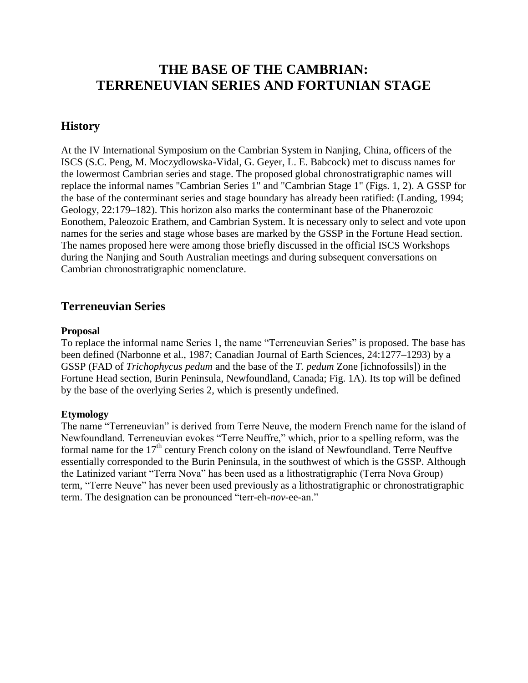# **THE BASE OF THE CAMBRIAN: TERRENEUVIAN SERIES AND FORTUNIAN STAGE**

# **History**

At the IV International Symposium on the Cambrian System in Nanjing, China, officers of the ISCS (S.C. Peng, M. Moczydlowska-Vidal, G. Geyer, L. E. Babcock) met to discuss names for the lowermost Cambrian series and stage. The proposed global chronostratigraphic names will replace the informal names "Cambrian Series 1" and "Cambrian Stage 1" (Figs. 1, 2). A GSSP for the base of the conterminant series and stage boundary has already been ratified: (Landing, 1994; Geology, 22:179–182). This horizon also marks the conterminant base of the Phanerozoic Eonothem, Paleozoic Erathem, and Cambrian System. It is necessary only to select and vote upon names for the series and stage whose bases are marked by the GSSP in the Fortune Head section. The names proposed here were among those briefly discussed in the official ISCS Workshops during the Nanjing and South Australian meetings and during subsequent conversations on Cambrian chronostratigraphic nomenclature.

# **Terreneuvian Series**

#### **Proposal**

To replace the informal name Series 1, the name "Terreneuvian Series" is proposed. The base has been defined (Narbonne et al., 1987; Canadian Journal of Earth Sciences, 24:1277–1293) by a GSSP (FAD of *Trichophycus pedum* and the base of the *T. pedum* Zone [ichnofossils]) in the Fortune Head section, Burin Peninsula, Newfoundland, Canada; Fig. 1A). Its top will be defined by the base of the overlying Series 2, which is presently undefined.

#### **Etymology**

The name "Terreneuvian" is derived from Terre Neuve, the modern French name for the island of Newfoundland. Terreneuvian evokes "Terre Neuffre," which, prior to a spelling reform, was the formal name for the  $17<sup>th</sup>$  century French colony on the island of Newfoundland. Terre Neuffve essentially corresponded to the Burin Peninsula, in the southwest of which is the GSSP. Although the Latinized variant "Terra Nova" has been used as a lithostratigraphic (Terra Nova Group) term, "Terre Neuve" has never been used previously as a lithostratigraphic or chronostratigraphic term. The designation can be pronounced "terr-eh-*nov-ee-an*."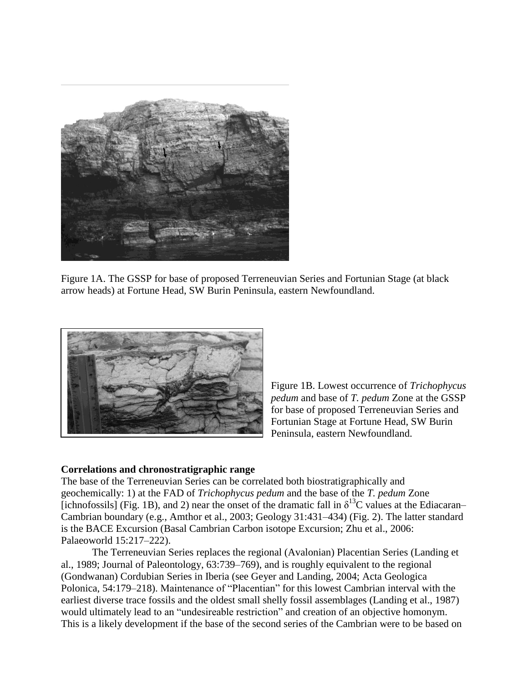

Figure 1A. The GSSP for base of proposed Terreneuvian Series and Fortunian Stage (at black arrow heads) at Fortune Head, SW Burin Peninsula, eastern Newfoundland.



Figure 1B. Lowest occurrence of *Trichophycus pedum* and base of *T. pedum* Zone at the GSSP for base of proposed Terreneuvian Series and Fortunian Stage at Fortune Head, SW Burin Peninsula, eastern Newfoundland.

#### **Correlations and chronostratigraphic range**

The base of the Terreneuvian Series can be correlated both biostratigraphically and geochemically: 1) at the FAD of *Trichophycus pedum* and the base of the *T. pedum* Zone [ichnofossils] (Fig. 1B), and 2) near the onset of the dramatic fall in  $\delta^{13}$ C values at the Ediacaran– Cambrian boundary (e.g., Amthor et al., 2003; Geology 31:431–434) (Fig. 2). The latter standard is the BACE Excursion (Basal Cambrian Carbon isotope Excursion; Zhu et al., 2006: Palaeoworld 15:217–222).

The Terreneuvian Series replaces the regional (Avalonian) Placentian Series (Landing et al., 1989; Journal of Paleontology, 63:739–769), and is roughly equivalent to the regional (Gondwanan) Cordubian Series in Iberia (see Geyer and Landing, 2004; Acta Geologica Polonica, 54:179–218). Maintenance of "Placentian" for this lowest Cambrian interval with the earliest diverse trace fossils and the oldest small shelly fossil assemblages (Landing et al., 1987) would ultimately lead to an "undesireable restriction" and creation of an objective homonym. This is a likely development if the base of the second series of the Cambrian were to be based on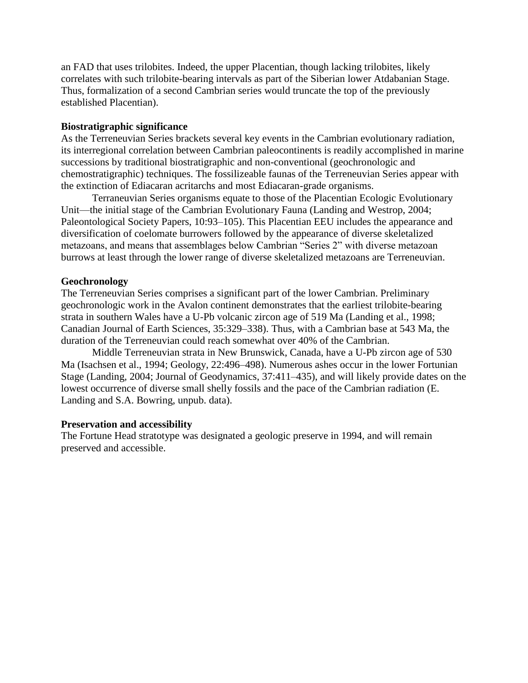an FAD that uses trilobites. Indeed, the upper Placentian, though lacking trilobites, likely correlates with such trilobite-bearing intervals as part of the Siberian lower Atdabanian Stage. Thus, formalization of a second Cambrian series would truncate the top of the previously established Placentian).

### **Biostratigraphic significance**

As the Terreneuvian Series brackets several key events in the Cambrian evolutionary radiation, its interregional correlation between Cambrian paleocontinents is readily accomplished in marine successions by traditional biostratigraphic and non-conventional (geochronologic and chemostratigraphic) techniques. The fossilizeable faunas of the Terreneuvian Series appear with the extinction of Ediacaran acritarchs and most Ediacaran-grade organisms.

Terraneuvian Series organisms equate to those of the Placentian Ecologic Evolutionary Unit—the initial stage of the Cambrian Evolutionary Fauna (Landing and Westrop, 2004; Paleontological Society Papers, 10:93–105). This Placentian EEU includes the appearance and diversification of coelomate burrowers followed by the appearance of diverse skeletalized metazoans, and means that assemblages below Cambrian "Series 2" with diverse metazoan burrows at least through the lower range of diverse skeletalized metazoans are Terreneuvian.

## **Geochronology**

The Terreneuvian Series comprises a significant part of the lower Cambrian. Preliminary geochronologic work in the Avalon continent demonstrates that the earliest trilobite-bearing strata in southern Wales have a U-Pb volcanic zircon age of 519 Ma (Landing et al., 1998; Canadian Journal of Earth Sciences, 35:329–338). Thus, with a Cambrian base at 543 Ma, the duration of the Terreneuvian could reach somewhat over 40% of the Cambrian.

Middle Terreneuvian strata in New Brunswick, Canada, have a U-Pb zircon age of 530 Ma (Isachsen et al., 1994; Geology, 22:496–498). Numerous ashes occur in the lower Fortunian Stage (Landing, 2004; Journal of Geodynamics, 37:411–435), and will likely provide dates on the lowest occurrence of diverse small shelly fossils and the pace of the Cambrian radiation (E. Landing and S.A. Bowring, unpub. data).

#### **Preservation and accessibility**

The Fortune Head stratotype was designated a geologic preserve in 1994, and will remain preserved and accessible.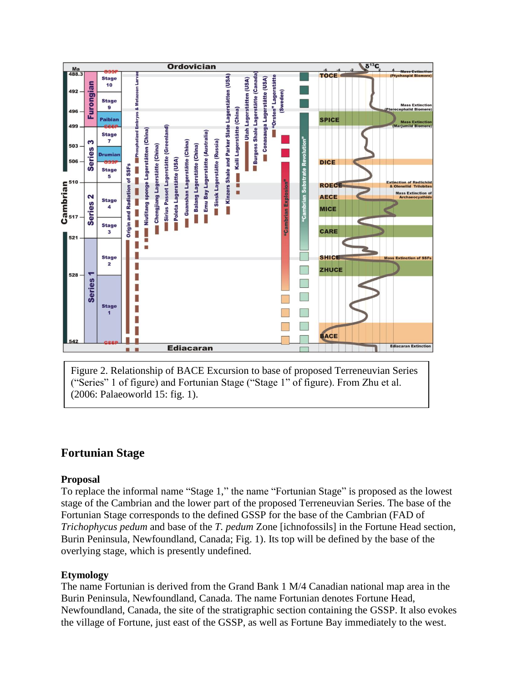

Figure 2. Relationship of BACE Excursion to base of proposed Terreneuvian Series ("Series" 1 of figure) and Fortunian Stage ("Stage 1" of figure). From Zhu et al. (2006: Palaeoworld 15: fig. 1).

# **Fortunian Stage**

# **Proposal**

To replace the informal name "Stage 1," the name "Fortunian Stage" is proposed as the lowest stage of the Cambrian and the lower part of the proposed Terreneuvian Series. The base of the Fortunian Stage corresponds to the defined GSSP for the base of the Cambrian (FAD of *Trichophycus pedum* and base of the *T. pedum* Zone [ichnofossils] in the Fortune Head section, Burin Peninsula, Newfoundland, Canada; Fig. 1). Its top will be defined by the base of the overlying stage, which is presently undefined.

# **Etymology**

The name Fortunian is derived from the Grand Bank 1 M/4 Canadian national map area in the Burin Peninsula, Newfoundland, Canada. The name Fortunian denotes Fortune Head, Newfoundland, Canada, the site of the stratigraphic section containing the GSSP. It also evokes the village of Fortune, just east of the GSSP, as well as Fortune Bay immediately to the west.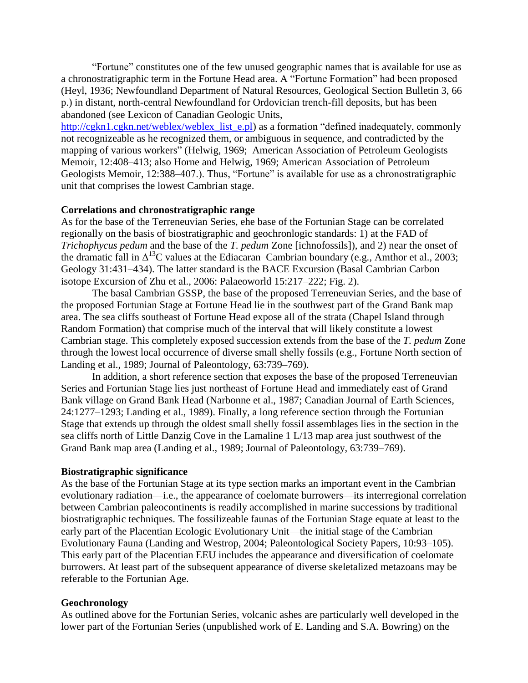―Fortune‖ constitutes one of the few unused geographic names that is available for use as a chronostratigraphic term in the Fortune Head area. A "Fortune Formation" had been proposed (Heyl, 1936; Newfoundland Department of Natural Resources, Geological Section Bulletin 3, 66 p.) in distant, north-central Newfoundland for Ordovician trench-fill deposits, but has been abandoned (see Lexicon of Canadian Geologic Units,

[http://cgkn1.cgkn.net/weblex/weblex\\_list\\_e.pl\)](http://cgkn1.cgkn.net/weblex/weblex_list_e.pl) as a formation "defined inadequately, commonly not recognizeable as he recognized them, or ambiguous in sequence, and contradicted by the mapping of various workers" (Helwig, 1969; American Association of Petroleum Geologists Memoir, 12:408–413; also Horne and Helwig, 1969; American Association of Petroleum Geologists Memoir, 12:388–407.). Thus, "Fortune" is available for use as a chronostratigraphic unit that comprises the lowest Cambrian stage.

#### **Correlations and chronostratigraphic range**

As for the base of the Terreneuvian Series, ehe base of the Fortunian Stage can be correlated regionally on the basis of biostratigraphic and geochronlogic standards: 1) at the FAD of *Trichophycus pedum* and the base of the *T. pedum* Zone [ichnofossils]), and 2) near the onset of the dramatic fall in  $\Delta^{13}$ C values at the Ediacaran–Cambrian boundary (e.g., Amthor et al., 2003; Geology 31:431–434). The latter standard is the BACE Excursion (Basal Cambrian Carbon isotope Excursion of Zhu et al., 2006: Palaeoworld 15:217–222; Fig. 2).

The basal Cambrian GSSP, the base of the proposed Terreneuvian Series, and the base of the proposed Fortunian Stage at Fortune Head lie in the southwest part of the Grand Bank map area. The sea cliffs southeast of Fortune Head expose all of the strata (Chapel Island through Random Formation) that comprise much of the interval that will likely constitute a lowest Cambrian stage. This completely exposed succession extends from the base of the *T. pedum* Zone through the lowest local occurrence of diverse small shelly fossils (e.g., Fortune North section of Landing et al., 1989; Journal of Paleontology, 63:739–769).

In addition, a short reference section that exposes the base of the proposed Terreneuvian Series and Fortunian Stage lies just northeast of Fortune Head and immediately east of Grand Bank village on Grand Bank Head (Narbonne et al., 1987; Canadian Journal of Earth Sciences, 24:1277–1293; Landing et al., 1989). Finally, a long reference section through the Fortunian Stage that extends up through the oldest small shelly fossil assemblages lies in the section in the sea cliffs north of Little Danzig Cove in the Lamaline 1 L/13 map area just southwest of the Grand Bank map area (Landing et al., 1989; Journal of Paleontology, 63:739–769).

#### **Biostratigraphic significance**

As the base of the Fortunian Stage at its type section marks an important event in the Cambrian evolutionary radiation—i.e., the appearance of coelomate burrowers—its interregional correlation between Cambrian paleocontinents is readily accomplished in marine successions by traditional biostratigraphic techniques. The fossilizeable faunas of the Fortunian Stage equate at least to the early part of the Placentian Ecologic Evolutionary Unit—the initial stage of the Cambrian Evolutionary Fauna (Landing and Westrop, 2004; Paleontological Society Papers, 10:93–105). This early part of the Placentian EEU includes the appearance and diversification of coelomate burrowers. At least part of the subsequent appearance of diverse skeletalized metazoans may be referable to the Fortunian Age.

#### **Geochronology**

As outlined above for the Fortunian Series, volcanic ashes are particularly well developed in the lower part of the Fortunian Series (unpublished work of E. Landing and S.A. Bowring) on the